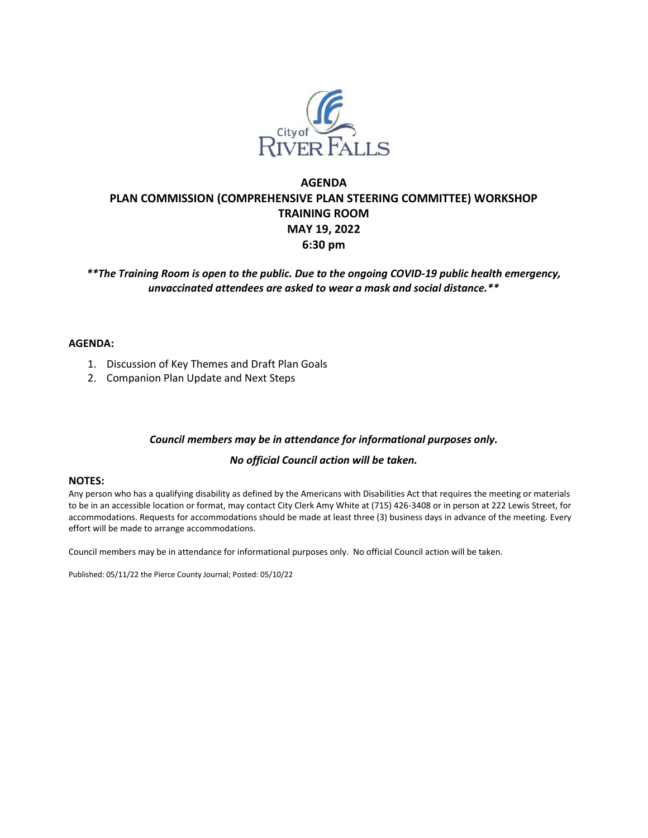

## **AGENDA PLAN COMMISSION (COMPREHENSIVE PLAN STEERING COMMITTEE) WORKSHOP TRAINING ROOM MAY 19, 2022 6:30 pm**

*\*\*The Training Room is open to the public. Due to the ongoing COVID-19 public health emergency, unvaccinated attendees are asked to wear a mask and social distance.\*\**

## **AGENDA:**

- 1. Discussion of Key Themes and Draft Plan Goals
- 2. Companion Plan Update and Next Steps

## *Council members may be in attendance for informational purposes only.*

## *No official Council action will be taken.*

#### **NOTES:**

Any person who has a qualifying disability as defined by the Americans with Disabilities Act that requires the meeting or materials to be in an accessible location or format, may contact City Clerk Amy White at (715) 426-3408 or in person at 222 Lewis Street, for accommodations. Requests for accommodations should be made at least three (3) business days in advance of the meeting. Every effort will be made to arrange accommodations.

Council members may be in attendance for informational purposes only. No official Council action will be taken.

Published: 05/11/22 the Pierce County Journal; Posted: 05/10/22